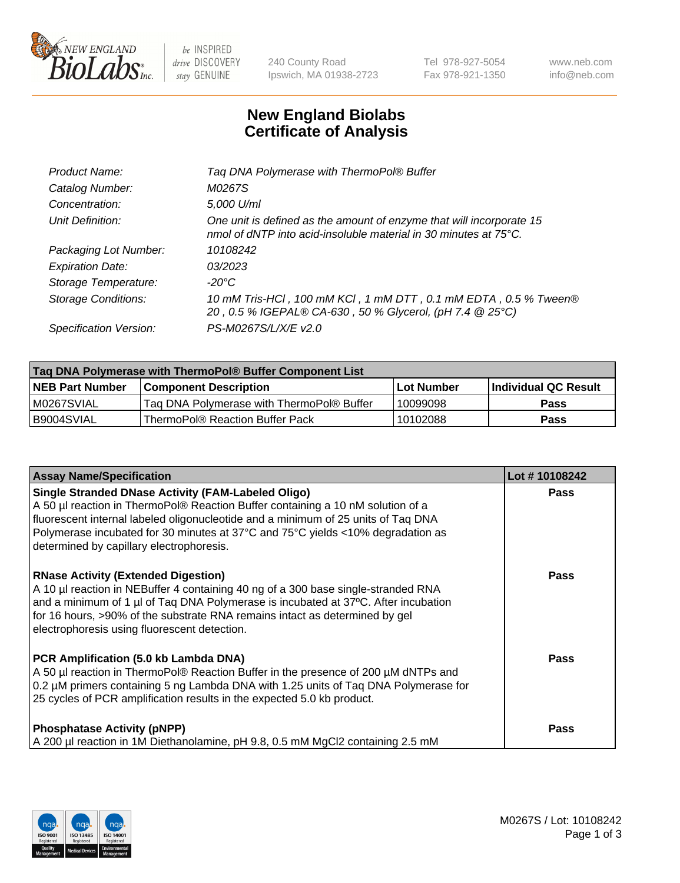

 $be$  INSPIRED drive DISCOVERY stay GENUINE

240 County Road Ipswich, MA 01938-2723 Tel 978-927-5054 Fax 978-921-1350 www.neb.com info@neb.com

## **New England Biolabs Certificate of Analysis**

| Tag DNA Polymerase with ThermoPol® Buffer                                                                                                |
|------------------------------------------------------------------------------------------------------------------------------------------|
| M0267S                                                                                                                                   |
| 5,000 U/ml                                                                                                                               |
| One unit is defined as the amount of enzyme that will incorporate 15<br>nmol of dNTP into acid-insoluble material in 30 minutes at 75°C. |
| 10108242                                                                                                                                 |
| 03/2023                                                                                                                                  |
| $-20^{\circ}$ C                                                                                                                          |
| 10 mM Tris-HCl, 100 mM KCl, 1 mM DTT, 0.1 mM EDTA, 0.5 % Tween®<br>20, 0.5 % IGEPAL® CA-630, 50 % Glycerol, (pH 7.4 @ 25°C)              |
| PS-M0267S/L/X/E v2.0                                                                                                                     |
|                                                                                                                                          |

| Tag DNA Polymerase with ThermoPol® Buffer Component List |                                           |                   |                      |  |
|----------------------------------------------------------|-------------------------------------------|-------------------|----------------------|--|
| <b>NEB Part Number</b>                                   | <b>Component Description</b>              | <b>Lot Number</b> | Individual QC Result |  |
| M0267SVIAL                                               | Tag DNA Polymerase with ThermoPol® Buffer | 10099098          | Pass                 |  |
| B9004SVIAL                                               | ThermoPol® Reaction Buffer Pack           | 10102088          | Pass                 |  |

| <b>Assay Name/Specification</b>                                                                                                                                                                                                                                                                                                                                  | Lot #10108242 |
|------------------------------------------------------------------------------------------------------------------------------------------------------------------------------------------------------------------------------------------------------------------------------------------------------------------------------------------------------------------|---------------|
| <b>Single Stranded DNase Activity (FAM-Labeled Oligo)</b><br>A 50 µl reaction in ThermoPol® Reaction Buffer containing a 10 nM solution of a<br>fluorescent internal labeled oligonucleotide and a minimum of 25 units of Taq DNA<br>Polymerase incubated for 30 minutes at 37°C and 75°C yields <10% degradation as<br>determined by capillary electrophoresis. | <b>Pass</b>   |
| <b>RNase Activity (Extended Digestion)</b><br>A 10 µl reaction in NEBuffer 4 containing 40 ng of a 300 base single-stranded RNA<br>and a minimum of 1 µl of Taq DNA Polymerase is incubated at 37°C. After incubation<br>for 16 hours, >90% of the substrate RNA remains intact as determined by gel<br>electrophoresis using fluorescent detection.             | <b>Pass</b>   |
| PCR Amplification (5.0 kb Lambda DNA)<br>A 50 µl reaction in ThermoPol® Reaction Buffer in the presence of 200 µM dNTPs and<br>0.2 µM primers containing 5 ng Lambda DNA with 1.25 units of Taq DNA Polymerase for<br>25 cycles of PCR amplification results in the expected 5.0 kb product.                                                                     | Pass          |
| <b>Phosphatase Activity (pNPP)</b><br>A 200 µl reaction in 1M Diethanolamine, pH 9.8, 0.5 mM MgCl2 containing 2.5 mM                                                                                                                                                                                                                                             | Pass          |

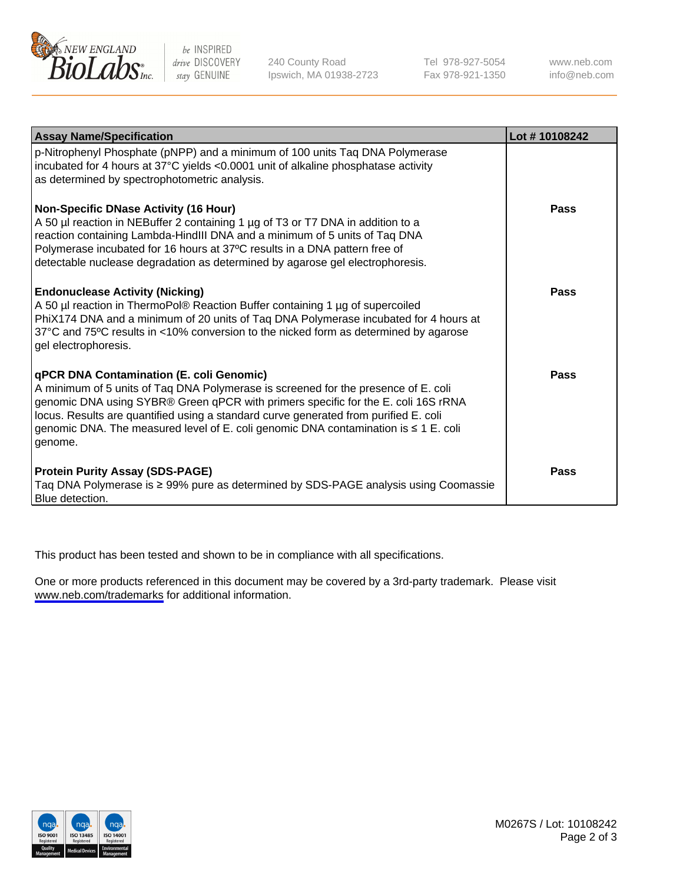

be INSPIRED drive DISCOVERY stay GENUINE

240 County Road Ipswich, MA 01938-2723 Tel 978-927-5054 Fax 978-921-1350

www.neb.com info@neb.com

| <b>Assay Name/Specification</b>                                                                                                                                                                                                                                                                                                                                                                                      | Lot #10108242 |
|----------------------------------------------------------------------------------------------------------------------------------------------------------------------------------------------------------------------------------------------------------------------------------------------------------------------------------------------------------------------------------------------------------------------|---------------|
| p-Nitrophenyl Phosphate (pNPP) and a minimum of 100 units Taq DNA Polymerase<br>incubated for 4 hours at 37°C yields <0.0001 unit of alkaline phosphatase activity<br>as determined by spectrophotometric analysis.                                                                                                                                                                                                  |               |
| <b>Non-Specific DNase Activity (16 Hour)</b><br>A 50 µl reaction in NEBuffer 2 containing 1 µg of T3 or T7 DNA in addition to a<br>reaction containing Lambda-HindIII DNA and a minimum of 5 units of Taq DNA<br>Polymerase incubated for 16 hours at 37°C results in a DNA pattern free of<br>detectable nuclease degradation as determined by agarose gel electrophoresis.                                         | Pass          |
| <b>Endonuclease Activity (Nicking)</b><br>A 50 µl reaction in ThermoPol® Reaction Buffer containing 1 µg of supercoiled<br>PhiX174 DNA and a minimum of 20 units of Taq DNA Polymerase incubated for 4 hours at<br>37°C and 75°C results in <10% conversion to the nicked form as determined by agarose<br>gel electrophoresis.                                                                                      | Pass          |
| <b>qPCR DNA Contamination (E. coli Genomic)</b><br>A minimum of 5 units of Taq DNA Polymerase is screened for the presence of E. coli<br>genomic DNA using SYBR® Green qPCR with primers specific for the E. coli 16S rRNA<br>locus. Results are quantified using a standard curve generated from purified E. coli<br>genomic DNA. The measured level of E. coli genomic DNA contamination is ≤ 1 E. coli<br>genome. | Pass          |
| <b>Protein Purity Assay (SDS-PAGE)</b><br>Taq DNA Polymerase is ≥ 99% pure as determined by SDS-PAGE analysis using Coomassie<br>Blue detection.                                                                                                                                                                                                                                                                     | Pass          |

This product has been tested and shown to be in compliance with all specifications.

One or more products referenced in this document may be covered by a 3rd-party trademark. Please visit <www.neb.com/trademarks>for additional information.